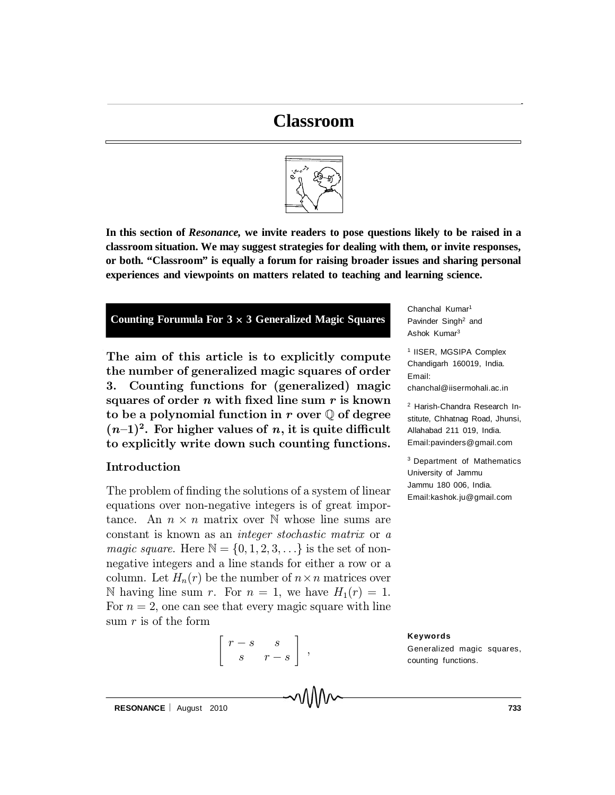## **Classroom**



**In this section of** *Resonance,* **we invite readers to pose questions likely to be raised in a classroom situation. We may suggest strategies for dealing with them, or invite responses, or both. "Classroom" is equally a forum for raising broader issues and sharing personal experiences and viewpoints on matters related to teaching and learning science.**



The aim of this article is to explicitly compute the number of generalized magic squares of order 3. Counting functions for (generalized) magic squares of order n with fixed line sum  $r$  is known to be a polynomial function in r over  $\mathbb Q$  of degree  $(n-1)^2$ . For higher values of n, it is quite difficult to explicitly write down such counting functions.

## Introduction

The problem of finding the solutions of a system of linear equations over non-negative integers is of great importance. An  $n \times n$  matrix over N whose line sums are constant is known as an integer stochastic matrix or a *magic square.* Here  $\mathbb{N} = \{0, 1, 2, 3, \ldots\}$  is the set of nonnegative integers and a line stands for either a row or a column. Let  $H_n(r)$  be the number of  $n \times n$  matrices over N having line sum r. For  $n = 1$ , we have  $H_1(r) = 1$ . For  $n = 2$ , one can see that every magic square with line sum  $r$  is of the form



Chanchal Kumar<sup>1</sup> Pavinder Singh<sup>2</sup> and Ashok Kumar<sup>3</sup>

1 IISER, MGSIPA Complex Chandigarh 160019, India. Email: chanchal@iisermohali.ac.in

<sup>2</sup> Harish-Chandra Research Institute, Chhatnag Road, Jhunsi, Allahabad 211 019, India. Email:pavinders@gmail.com

<sup>3</sup> Department of Mathematics University of Jammu Jammu 180 006, India. Email:kashok.ju@gmail.com

**Keywords** Generalized magic squares, counting functions.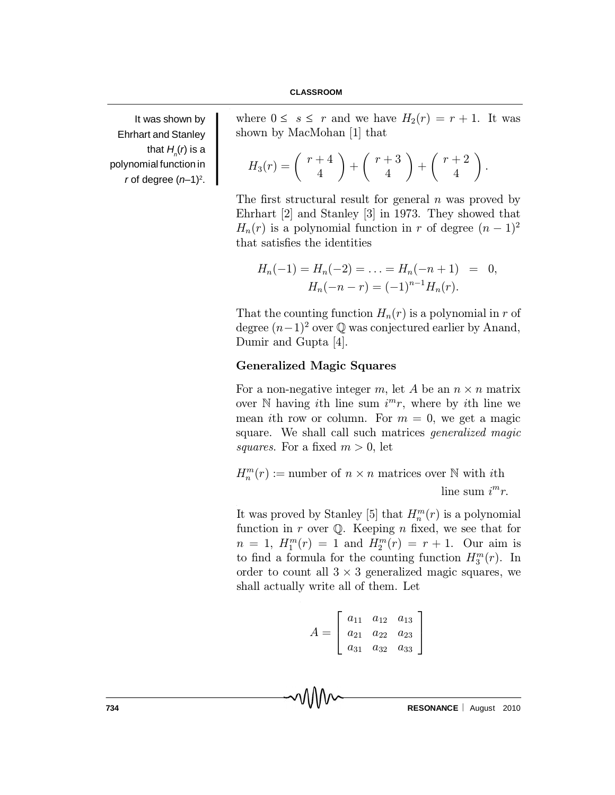It was shown by Ehrhart and Stanley that  $H_n(r)$  is a polynomial function in *r* of degree  $(n-1)^2$ .

where  $0 \leq s \leq r$  and we have  $H_2(r) = r + 1$ . It was shown by MacMohan [1] that

$$
H_3(r) = \left(\begin{array}{c} r+4 \\ 4 \end{array}\right) + \left(\begin{array}{c} r+3 \\ 4 \end{array}\right) + \left(\begin{array}{c} r+2 \\ 4 \end{array}\right).
$$

The first structural result for general n was proved by Ehrhart [2] and Stanley [3] in 1973. They showed that  $H_n(r)$  is a polynomial function in r of degree  $(n-1)^2$ that satisfies the identities

$$
H_n(-1) = H_n(-2) = \dots = H_n(-n+1) = 0,
$$
  

$$
H_n(-n-r) = (-1)^{n-1}H_n(r).
$$

That the counting function  $H_n(r)$  is a polynomial in r of degree  $(n-1)^2$  over  $\mathbb Q$  was conjectured earlier by Anand, Dumir and Gupta [4].

## Generalized Magic Squares

For a non-negative integer m, let A be an  $n \times n$  matrix over  $\mathbb N$  having *i*th line sum  $i^m r$ , where by *i*th line we mean ith row or column. For  $m = 0$ , we get a magic square. We shall call such matrices *generalized magic* squares. For a fixed  $m > 0$ , let

 $H_n^m(r) :=$  number of  $n \times n$  matrices over  $\mathbb N$  with *i*th line sum  $i^m r$ .

It was proved by Stanley [5] that  $H_n^m(r)$  is a polynomial function in r over  $\mathbb Q$ . Keeping n fixed, we see that for  $n = 1, H_1^m(r) = 1$  and  $H_2^m(r) = r + 1$ . Our aim is to find a formula for the counting function  $H_3^m(r)$ . In order to count all  $3 \times 3$  generalized magic squares, we shall actually write all of them. Let

$$
A = \left[ \begin{array}{ccc} a_{11} & a_{12} & a_{13} \\ a_{21} & a_{22} & a_{23} \\ a_{31} & a_{32} & a_{33} \end{array} \right]
$$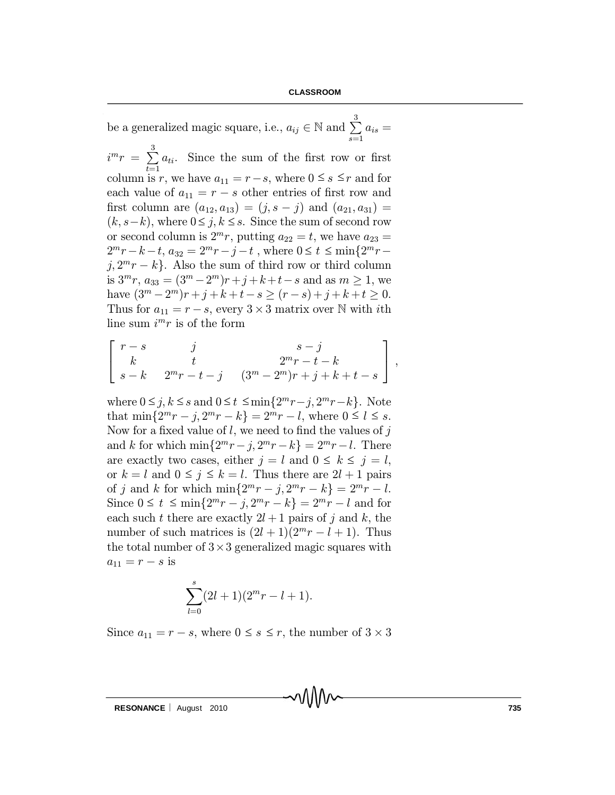be a generalized magic square, i.e.,  $a_{ij} \in \mathbb{N}$  and  $\sum_{i=1}^{3}$  $_{s=1}$  $a_{is} =$  $i^{m}r = \sum^{3}$  $t=1$  $a_{ti}$ . Since the sum of the first row or first column is r, we have  $a_{11} = r - s$ , where  $0 \leq s \leq r$  and for each value of  $a_{11} = r - s$  other entries of first row and first column are  $(a_{12}, a_{13}) = (j, s - j)$  and  $(a_{21}, a_{31}) =$  $(k, s-k)$ , where  $0 \le j, k \le s$ . Since the sum of second row or second column is  $2^m r$ , putting  $a_{22} = t$ , we have  $a_{23} =$  $2^m r - k - t$ ,  $a_{32} = 2^m r - j - t$ , where  $0 \le t \le \min\{2^m r$  $j, 2^m r - k$ . Also the sum of third row or third column is  $3^{m}r$ ,  $a_{33} = (3^{m} - 2^{m})r + j + k + t - s$  and as  $m \ge 1$ , we have  $(3^m - 2^m)r + j + k + t - s \ge (r - s) + j + k + t \ge 0.$ Thus for  $a_{11} = r - s$ , every  $3 \times 3$  matrix over N with *i*th line sum  $i^{m}r$  is of the form

$$
\left[ \begin{array}{ccc} r-s & j & s-j \\ k & t & 2^{m}r-t-k \\ s-k & 2^{m}r-t-j & (3^m-2^m)r+j+k+t-s \end{array} \right] \; ,
$$

where  $0 \leq j, k \leq s$  and  $0 \leq t \leq \min\{2^m r - j, 2^m r - k\}$ . Note that  $\min\{2^m r - j, 2^m r - k\} = 2^m r - l$ , where  $0 \le l \le s$ . Now for a fixed value of  $l$ , we need to find the values of j and k for which  $\min\{2^m r - j, 2^m r - k\} = 2^m r - l$ . There are exactly two cases, either  $j = l$  and  $0 \le k \le j = l$ , or  $k = l$  and  $0 \le j \le k = l$ . Thus there are  $2l + 1$  pairs of j and k for which  $\min\{2^m r - j, 2^m r - k\} = 2^m r - l.$ Since  $0 \le t \le \min\{2^m r - j, 2^m r - k\} = 2^m r - l$  and for each such t there are exactly  $2l + 1$  pairs of j and k, the number of such matrices is  $(2l + 1)(2<sup>m</sup>r - l + 1)$ . Thus the total number of  $3\times3$  generalized magic squares with  $a_{11} = r - s$  is

$$
\sum_{l=0}^{s} (2l+1)(2^m r - l + 1).
$$

Since  $a_{11} = r - s$ , where  $0 \leq s \leq r$ , the number of  $3 \times 3$ 

**RESONANCE** | August 2010 **735**